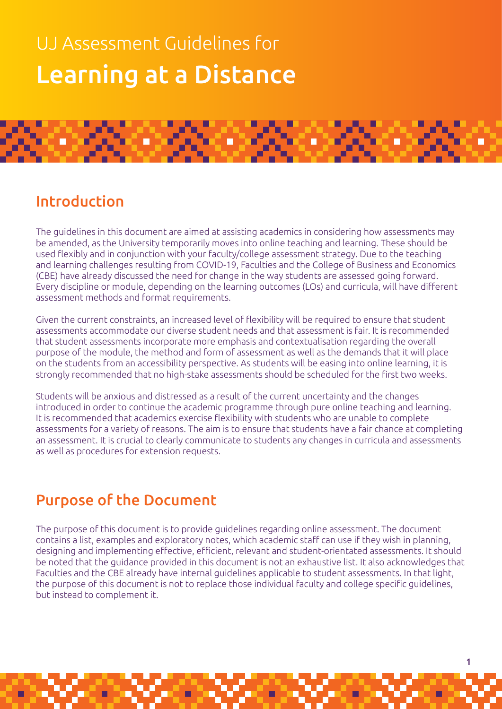# UJ Assessment Guidelines for Learning at a Distance



### Introduction

The guidelines in this document are aimed at assisting academics in considering how assessments may be amended, as the University temporarily moves into online teaching and learning. These should be used flexibly and in conjunction with your faculty/college assessment strategy. Due to the teaching and learning challenges resulting from COVID-19, Faculties and the College of Business and Economics (CBE) have already discussed the need for change in the way students are assessed going forward. Every discipline or module, depending on the learning outcomes (LOs) and curricula, will have different assessment methods and format requirements.

Given the current constraints, an increased level of flexibility will be required to ensure that student assessments accommodate our diverse student needs and that assessment is fair. It is recommended that student assessments incorporate more emphasis and contextualisation regarding the overall purpose of the module, the method and form of assessment as well as the demands that it will place on the students from an accessibility perspective. As students will be easing into online learning, it is strongly recommended that no high-stake assessments should be scheduled for the first two weeks.

Students will be anxious and distressed as a result of the current uncertainty and the changes introduced in order to continue the academic programme through pure online teaching and learning. It is recommended that academics exercise flexibility with students who are unable to complete assessments for a variety of reasons. The aim is to ensure that students have a fair chance at completing an assessment. It is crucial to clearly communicate to students any changes in curricula and assessments as well as procedures for extension requests.

# Purpose of the Document

The purpose of this document is to provide guidelines regarding online assessment. The document contains a list, examples and exploratory notes, which academic staff can use if they wish in planning, designing and implementing effective, efficient, relevant and student-orientated assessments. It should be noted that the guidance provided in this document is not an exhaustive list. It also acknowledges that Faculties and the CBE already have internal guidelines applicable to student assessments. In that light, the purpose of this document is not to replace those individual faculty and college specific guidelines, but instead to complement it.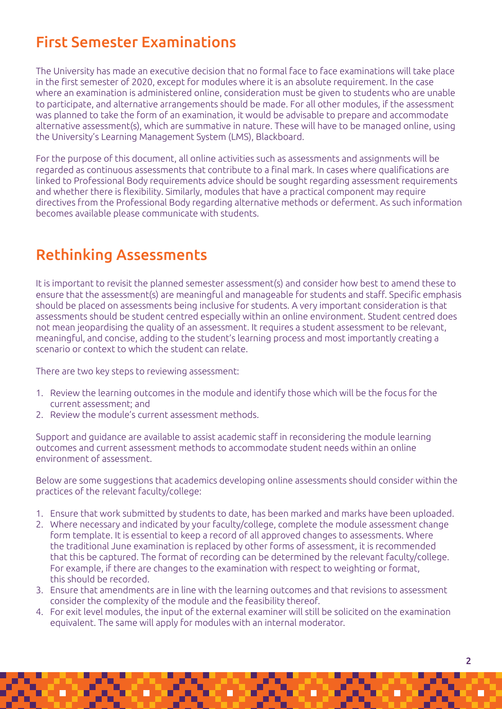# First Semester Examinations

The University has made an executive decision that no formal face to face examinations will take place in the first semester of 2020, except for modules where it is an absolute requirement. In the case where an examination is administered online, consideration must be given to students who are unable to participate, and alternative arrangements should be made. For all other modules, if the assessment was planned to take the form of an examination, it would be advisable to prepare and accommodate alternative assessment(s), which are summative in nature. These will have to be managed online, using the University's Learning Management System (LMS), Blackboard.

For the purpose of this document, all online activities such as assessments and assignments will be regarded as continuous assessments that contribute to a final mark. In cases where qualifications are linked to Professional Body requirements advice should be sought regarding assessment requirements and whether there is flexibility. Similarly, modules that have a practical component may require directives from the Professional Body regarding alternative methods or deferment. As such information becomes available please communicate with students.

### Rethinking Assessments

It is important to revisit the planned semester assessment(s) and consider how best to amend these to ensure that the assessment(s) are meaningful and manageable for students and staff. Specific emphasis should be placed on assessments being inclusive for students. A very important consideration is that assessments should be student centred especially within an online environment. Student centred does not mean jeopardising the quality of an assessment. It requires a student assessment to be relevant, meaningful, and concise, adding to the student's learning process and most importantly creating a scenario or context to which the student can relate.

There are two key steps to reviewing assessment:

- 1. Review the learning outcomes in the module and identify those which will be the focus for the current assessment; and
- 2. Review the module's current assessment methods.

Support and guidance are available to assist academic staff in reconsidering the module learning outcomes and current assessment methods to accommodate student needs within an online environment of assessment.

Below are some suggestions that academics developing online assessments should consider within the practices of the relevant faculty/college:

- 1. Ensure that work submitted by students to date, has been marked and marks have been uploaded.
- 2. Where necessary and indicated by your faculty/college, complete the module assessment change form template. It is essential to keep a record of all approved changes to assessments. Where the traditional June examination is replaced by other forms of assessment, it is recommended that this be captured. The format of recording can be determined by the relevant faculty/college. For example, if there are changes to the examination with respect to weighting or format, this should be recorded.
- 3. Ensure that amendments are in line with the learning outcomes and that revisions to assessment consider the complexity of the module and the feasibility thereof.
- 4. For exit level modules, the input of the external examiner will still be solicited on the examination equivalent. The same will apply for modules with an internal moderator.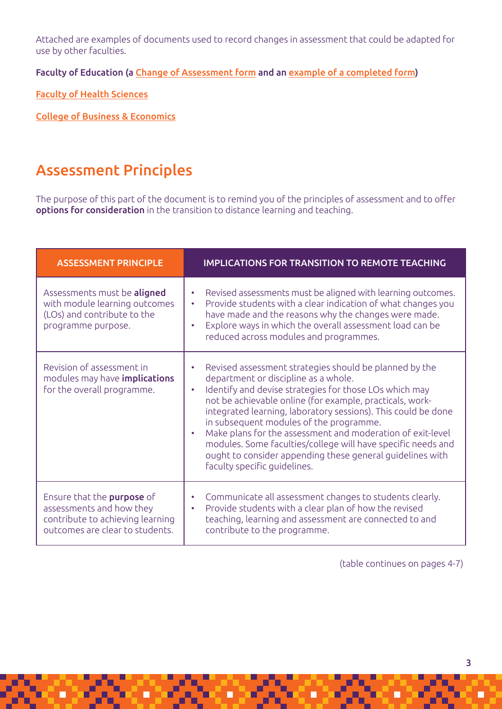Attached are examples of documents used to record changes in assessment that could be adapted for use by other faculties.

Faculty of Education (a [Change of Assessment form](https://uj.blackboard.com/bbcswebdav/orgs/CM0002/Faculty%20of%20Education%20Change%20of%20assessment%20form.docx) and an [example of a completed form](https://uj.blackboard.com/bbcswebdav/orgs/CM0002/Faculty%20of%20Education%20Example%20of%20how%20to%20fill%20out%20change%20of%20assessment%20form.docx))

[Faculty of Health Sciences](https://uj.blackboard.com/bbcswebdav/orgs/CM0002/Faculty%20of%20Health%20Sciences%20Approval%20of%20Assessment%20Changes.docx)

[College of Business & Economics](https://uj.blackboard.com/bbcswebdav/orgs/CM0002/Accounting%20Subject%20Calculation%20Criteria%20Per%20Calendar%20Year.xlsx)

### Assessment Principles

The purpose of this part of the document is to remind you of the principles of assessment and to offer options for consideration in the transition to distance learning and teaching.

| <b>ASSESSMENT PRINCIPLE</b>                                                                                                   | <b>IMPLICATIONS FOR TRANSITION TO REMOTE TEACHING</b>                                                                                                                                                                                                                                                                                                                                                                                                                                                                                                                                 |
|-------------------------------------------------------------------------------------------------------------------------------|---------------------------------------------------------------------------------------------------------------------------------------------------------------------------------------------------------------------------------------------------------------------------------------------------------------------------------------------------------------------------------------------------------------------------------------------------------------------------------------------------------------------------------------------------------------------------------------|
| Assessments must be aligned<br>with module learning outcomes<br>(LOs) and contribute to the<br>programme purpose.             | Revised assessments must be aligned with learning outcomes.<br>٠<br>Provide students with a clear indication of what changes you<br>$\bullet$<br>have made and the reasons why the changes were made.<br>Explore ways in which the overall assessment load can be<br>$\bullet$<br>reduced across modules and programmes.                                                                                                                                                                                                                                                              |
| Revision of assessment in<br>modules may have <b>implications</b><br>for the overall programme.                               | Revised assessment strategies should be planned by the<br>department or discipline as a whole.<br>Identify and devise strategies for those LOs which may<br>$\bullet$<br>not be achievable online (for example, practicals, work-<br>integrated learning, laboratory sessions). This could be done<br>in subsequent modules of the programme.<br>Make plans for the assessment and moderation of exit-level<br>$\bullet$<br>modules. Some faculties/college will have specific needs and<br>ought to consider appending these general guidelines with<br>faculty specific quidelines. |
| Ensure that the purpose of<br>assessments and how they<br>contribute to achieving learning<br>outcomes are clear to students. | Communicate all assessment changes to students clearly.<br>٠<br>Provide students with a clear plan of how the revised<br>$\bullet$<br>teaching, learning and assessment are connected to and<br>contribute to the programme.                                                                                                                                                                                                                                                                                                                                                          |

(table continues on pages 4-7)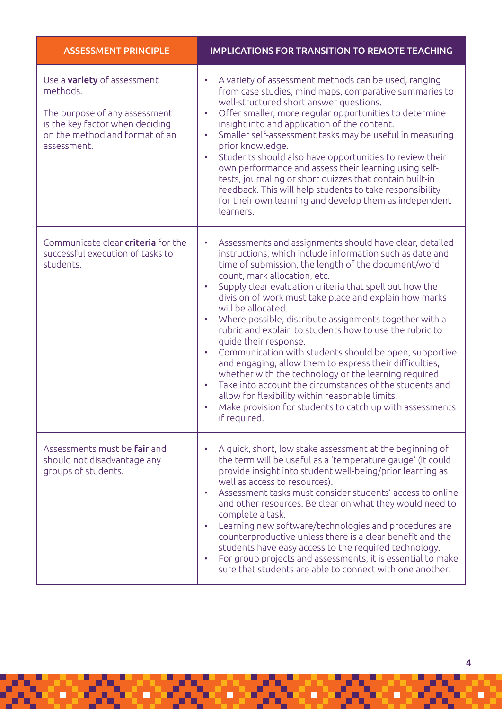| <b>ASSESSMENT PRINCIPLE</b>                                                                                                                                         | <b>IMPLICATIONS FOR TRANSITION TO REMOTE TEACHING</b>                                                                                                                                                                                                                                                                                                                                                                                                                                                                                                                                                                                                                                                                                                                                                                                                                                                                                                     |
|---------------------------------------------------------------------------------------------------------------------------------------------------------------------|-----------------------------------------------------------------------------------------------------------------------------------------------------------------------------------------------------------------------------------------------------------------------------------------------------------------------------------------------------------------------------------------------------------------------------------------------------------------------------------------------------------------------------------------------------------------------------------------------------------------------------------------------------------------------------------------------------------------------------------------------------------------------------------------------------------------------------------------------------------------------------------------------------------------------------------------------------------|
| Use a <b>variety</b> of assessment<br>methods.<br>The purpose of any assessment<br>is the key factor when deciding<br>on the method and format of an<br>assessment. | A variety of assessment methods can be used, ranging<br>$\bullet$<br>from case studies, mind maps, comparative summaries to<br>well-structured short answer questions.<br>Offer smaller, more regular opportunities to determine<br>$\bullet$<br>insight into and application of the content.<br>Smaller self-assessment tasks may be useful in measuring<br>$\bullet$<br>prior knowledge.<br>Students should also have opportunities to review their<br>$\bullet$<br>own performance and assess their learning using self-<br>tests, journaling or short quizzes that contain built-in<br>feedback. This will help students to take responsibility<br>for their own learning and develop them as independent<br>learners.                                                                                                                                                                                                                                |
| Communicate clear criteria for the<br>successful execution of tasks to<br>students.                                                                                 | Assessments and assignments should have clear, detailed<br>$\bullet$<br>instructions, which include information such as date and<br>time of submission, the length of the document/word<br>count, mark allocation, etc.<br>Supply clear evaluation criteria that spell out how the<br>$\bullet$<br>division of work must take place and explain how marks<br>will be allocated.<br>Where possible, distribute assignments together with a<br>$\bullet$<br>rubric and explain to students how to use the rubric to<br>guide their response.<br>Communication with students should be open, supportive<br>$\bullet$<br>and engaging, allow them to express their difficulties,<br>whether with the technology or the learning required.<br>Take into account the circumstances of the students and<br>$\bullet$<br>allow for flexibility within reasonable limits.<br>Make provision for students to catch up with assessments<br>$\bullet$<br>if required. |
| Assessments must be <b>fair</b> and<br>should not disadvantage any<br>groups of students.                                                                           | A quick, short, low stake assessment at the beginning of<br>$\bullet$<br>the term will be useful as a 'temperature gauge' (it could<br>provide insight into student well-being/prior learning as<br>well as access to resources).<br>Assessment tasks must consider students' access to online<br>$\bullet$<br>and other resources. Be clear on what they would need to<br>complete a task.<br>Learning new software/technologies and procedures are<br>$\bullet$<br>counterproductive unless there is a clear benefit and the<br>students have easy access to the required technology.<br>For group projects and assessments, it is essential to make<br>$\bullet$<br>sure that students are able to connect with one another.                                                                                                                                                                                                                           |

78. OR

82

F

G

838

E

838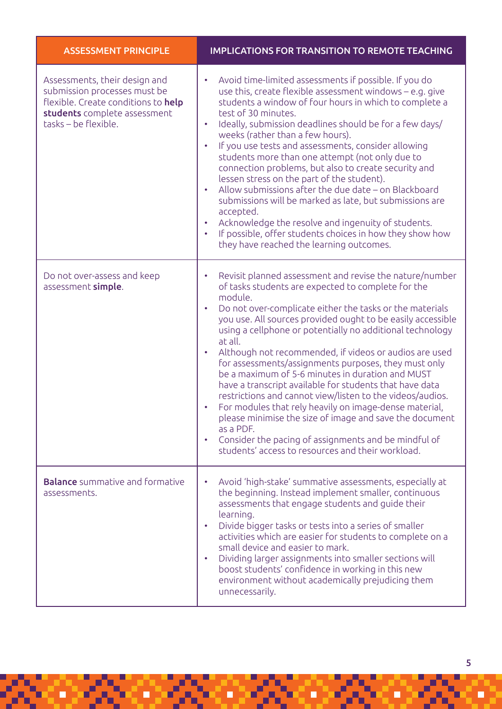| <b>ASSESSMENT PRINCIPLE</b>                                                                                                                                  | <b>IMPLICATIONS FOR TRANSITION TO REMOTE TEACHING</b>                                                                                                                                                                                                                                                                                                                                                                                                                                                                                                                                                                                                                                                                                                                                                                                                                                              |
|--------------------------------------------------------------------------------------------------------------------------------------------------------------|----------------------------------------------------------------------------------------------------------------------------------------------------------------------------------------------------------------------------------------------------------------------------------------------------------------------------------------------------------------------------------------------------------------------------------------------------------------------------------------------------------------------------------------------------------------------------------------------------------------------------------------------------------------------------------------------------------------------------------------------------------------------------------------------------------------------------------------------------------------------------------------------------|
| Assessments, their design and<br>submission processes must be<br>flexible. Create conditions to help<br>students complete assessment<br>tasks - be flexible. | Avoid time-limited assessments if possible. If you do<br>use this, create flexible assessment windows - e.g. give<br>students a window of four hours in which to complete a<br>test of 30 minutes.<br>Ideally, submission deadlines should be for a few days/<br>$\bullet$<br>weeks (rather than a few hours).<br>If you use tests and assessments, consider allowing<br>$\bullet$<br>students more than one attempt (not only due to<br>connection problems, but also to create security and<br>lessen stress on the part of the student).<br>Allow submissions after the due date - on Blackboard<br>$\bullet$<br>submissions will be marked as late, but submissions are<br>accepted.<br>Acknowledge the resolve and ingenuity of students.<br>$\bullet$<br>If possible, offer students choices in how they show how<br>they have reached the learning outcomes.                                |
| Do not over-assess and keep<br>assessment simple.                                                                                                            | Revisit planned assessment and revise the nature/number<br>of tasks students are expected to complete for the<br>module.<br>Do not over-complicate either the tasks or the materials<br>$\bullet$<br>you use. All sources provided ought to be easily accessible<br>using a cellphone or potentially no additional technology<br>at all.<br>Although not recommended, if videos or audios are used<br>for assessments/assignments purposes, they must only<br>be a maximum of 5-6 minutes in duration and MUST<br>have a transcript available for students that have data<br>restrictions and cannot view/listen to the videos/audios.<br>For modules that rely heavily on image-dense material,<br>please minimise the size of image and save the document<br>as a PDF.<br>Consider the pacing of assignments and be mindful of<br>$\bullet$<br>students' access to resources and their workload. |
| <b>Balance</b> summative and formative<br>assessments.                                                                                                       | Avoid 'high-stake' summative assessments, especially at<br>the beginning. Instead implement smaller, continuous<br>assessments that engage students and guide their<br>learning.<br>Divide bigger tasks or tests into a series of smaller<br>$\bullet$<br>activities which are easier for students to complete on a<br>small device and easier to mark.<br>Dividing larger assignments into smaller sections will<br>$\bullet$<br>boost students' confidence in working in this new<br>environment without academically prejudicing them<br>unnecessarily.                                                                                                                                                                                                                                                                                                                                         |

ď,

Ŀ,

Ξ

ó

5

B

q

 $\blacksquare$ 

Ó

Ξ

ш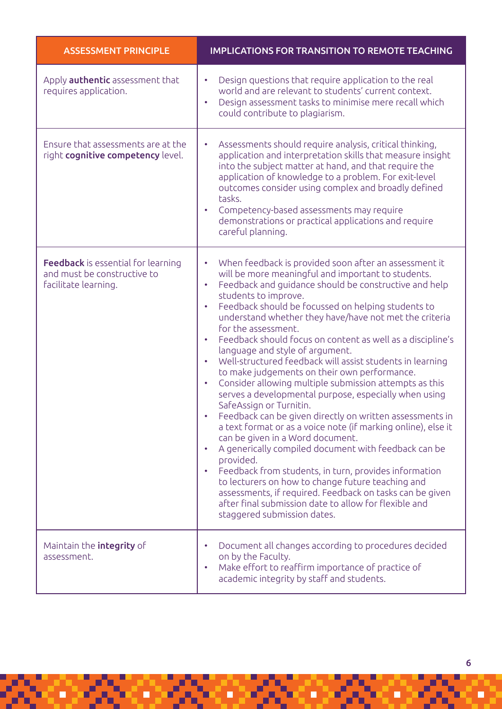| <b>ASSESSMENT PRINCIPLE</b>                                                                      | <b>IMPLICATIONS FOR TRANSITION TO REMOTE TEACHING</b>                                                                                                                                                                                                                                                                                                                                                                                                                                                                                                                                                                                                                                                                                                                                                                                                                                                                                                                                                                                                                                                                                                                                                                                                                                                           |
|--------------------------------------------------------------------------------------------------|-----------------------------------------------------------------------------------------------------------------------------------------------------------------------------------------------------------------------------------------------------------------------------------------------------------------------------------------------------------------------------------------------------------------------------------------------------------------------------------------------------------------------------------------------------------------------------------------------------------------------------------------------------------------------------------------------------------------------------------------------------------------------------------------------------------------------------------------------------------------------------------------------------------------------------------------------------------------------------------------------------------------------------------------------------------------------------------------------------------------------------------------------------------------------------------------------------------------------------------------------------------------------------------------------------------------|
| Apply <b>authentic</b> assessment that<br>requires application.                                  | Design questions that require application to the real<br>$\bullet$<br>world and are relevant to students' current context.<br>Design assessment tasks to minimise mere recall which<br>$\bullet$<br>could contribute to plagiarism.                                                                                                                                                                                                                                                                                                                                                                                                                                                                                                                                                                                                                                                                                                                                                                                                                                                                                                                                                                                                                                                                             |
| Ensure that assessments are at the<br>right cognitive competency level.                          | Assessments should require analysis, critical thinking,<br>۰<br>application and interpretation skills that measure insight<br>into the subject matter at hand, and that require the<br>application of knowledge to a problem. For exit-level<br>outcomes consider using complex and broadly defined<br>tasks.<br>Competency-based assessments may require<br>demonstrations or practical applications and require<br>careful planning.                                                                                                                                                                                                                                                                                                                                                                                                                                                                                                                                                                                                                                                                                                                                                                                                                                                                          |
| <b>Feedback</b> is essential for learning<br>and must be constructive to<br>facilitate learning. | When feedback is provided soon after an assessment it<br>$\bullet$<br>will be more meaningful and important to students.<br>Feedback and guidance should be constructive and help<br>$\bullet$<br>students to improve.<br>Feedback should be focussed on helping students to<br>$\bullet$<br>understand whether they have/have not met the criteria<br>for the assessment.<br>Feedback should focus on content as well as a discipline's<br>$\bullet$<br>language and style of argument.<br>Well-structured feedback will assist students in learning<br>$\bullet$<br>to make judgements on their own performance.<br>Consider allowing multiple submission attempts as this<br>$\bullet$<br>serves a developmental purpose, especially when using<br>SafeAssign or Turnitin.<br>Feedback can be given directly on written assessments in<br>a text format or as a voice note (if marking online), else it<br>can be given in a Word document.<br>A generically compiled document with feedback can be<br>$\bullet$<br>provided.<br>Feedback from students, in turn, provides information<br>$\bullet$<br>to lecturers on how to change future teaching and<br>assessments, if required. Feedback on tasks can be given<br>after final submission date to allow for flexible and<br>staggered submission dates. |
| Maintain the integrity of<br>assessment.                                                         | Document all changes according to procedures decided<br>on by the Faculty.<br>Make effort to reaffirm importance of practice of<br>$\bullet$<br>academic integrity by staff and students.                                                                                                                                                                                                                                                                                                                                                                                                                                                                                                                                                                                                                                                                                                                                                                                                                                                                                                                                                                                                                                                                                                                       |

æ

98

D

3

S

8

۲

ś

ż

ą

þ

Ξ

98

ц

E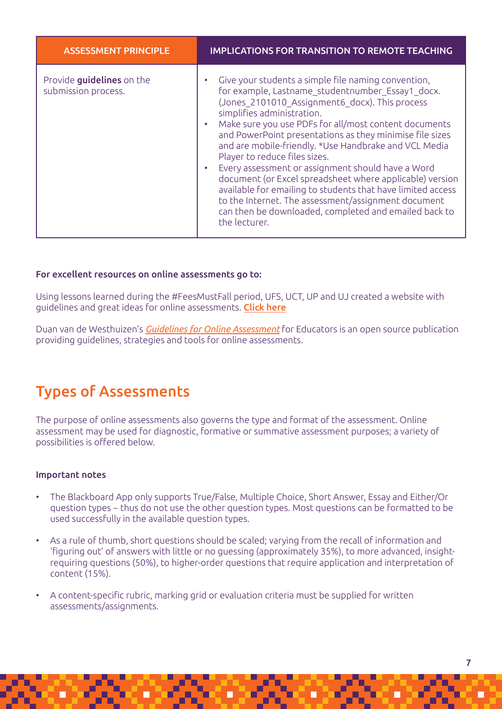| <b>ASSESSMENT PRINCIPLE</b>                      | <b>IMPLICATIONS FOR TRANSITION TO REMOTE TEACHING</b>                                                                                                                                                                                                                                                                                                                                                                                                                                                                                                                                                                                                                                                                   |
|--------------------------------------------------|-------------------------------------------------------------------------------------------------------------------------------------------------------------------------------------------------------------------------------------------------------------------------------------------------------------------------------------------------------------------------------------------------------------------------------------------------------------------------------------------------------------------------------------------------------------------------------------------------------------------------------------------------------------------------------------------------------------------------|
| Provide guidelines on the<br>submission process. | Give your students a simple file naming convention,<br>for example, Lastname studentnumber Essay1 docx.<br>(Jones 2101010 Assignment6 docx). This process<br>simplifies administration.<br>Make sure you use PDFs for all/most content documents<br>and PowerPoint presentations as they minimise file sizes<br>and are mobile-friendly. *Use Handbrake and VCL Media<br>Player to reduce files sizes.<br>Every assessment or assignment should have a Word<br>document (or Excel spreadsheet where applicable) version<br>available for emailing to students that have limited access<br>to the Internet. The assessment/assignment document<br>can then be downloaded, completed and emailed back to<br>the lecturer. |

### For excellent resources on online assessments go to:

Using lessons learned during the #FeesMustFall period, UFS, UCT, UP and UJ created a website with guidelines and great ideas for online assessments. [Click here](https://blendedlearningresources.co.za/online-assessment-landing-page/)

Duan van de Westhuizen's *[Guidelines for Online Assessment](https://www.oercommons.org/courses/guidelines-for-online-assessments-for-educators)* for Educators is an open source publication providing guidelines, strategies and tools for online assessments.

### Types of Assessments

The purpose of online assessments also governs the type and format of the assessment. Online assessment may be used for diagnostic, formative or summative assessment purposes; a variety of possibilities is offered below.

#### Important notes

- The Blackboard App only supports True/False, Multiple Choice, Short Answer, Essay and Either/Or question types − thus do not use the other question types. Most questions can be formatted to be used successfully in the available question types.
- As a rule of thumb, short questions should be scaled; varying from the recall of information and 'figuring out' of answers with little or no guessing (approximately 35%), to more advanced, insightrequiring questions (50%), to higher-order questions that require application and interpretation of content (15%).
- A content-specific rubric, marking grid or evaluation criteria must be supplied for written assessments/assignments.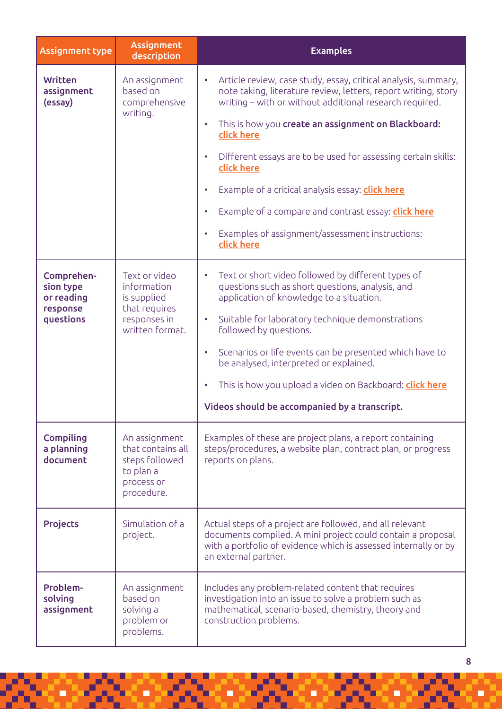| <b>Assignment type</b>                                         | <b>Assignment</b><br>description                                                                | <b>Examples</b>                                                                                                                                                                                                                                                                                                                                                                                                                                                                                                                                                                                           |  |
|----------------------------------------------------------------|-------------------------------------------------------------------------------------------------|-----------------------------------------------------------------------------------------------------------------------------------------------------------------------------------------------------------------------------------------------------------------------------------------------------------------------------------------------------------------------------------------------------------------------------------------------------------------------------------------------------------------------------------------------------------------------------------------------------------|--|
| <b>Written</b><br>assignment<br>(essay)                        | An assignment<br>based on<br>comprehensive<br>writing.                                          | Article review, case study, essay, critical analysis, summary,<br>$\bullet$<br>note taking, literature review, letters, report writing, story<br>writing – with or without additional research required.<br>This is how you create an assignment on Blackboard:<br>$\bullet$<br>click here<br>Different essays are to be used for assessing certain skills:<br>$\bullet$<br>click here<br>Example of a critical analysis essay: click here<br>$\bullet$<br>Example of a compare and contrast essay: click here<br>$\bullet$<br>Examples of assignment/assessment instructions:<br>$\bullet$<br>click here |  |
| Comprehen-<br>sion type<br>or reading<br>response<br>questions | Text or video<br>information<br>is supplied<br>that requires<br>responses in<br>written format. | Text or short video followed by different types of<br>$\bullet$<br>questions such as short questions, analysis, and<br>application of knowledge to a situation.<br>Suitable for laboratory technique demonstrations<br>٠<br>followed by questions.<br>Scenarios or life events can be presented which have to<br>$\bullet$<br>be analysed, interpreted or explained.<br>This is how you upload a video on Backboard: click here<br>$\bullet$<br>Videos should be accompanied by a transcript.                                                                                                             |  |
| <b>Compiling</b><br>a planning<br>document                     | An assignment<br>that contains all<br>steps followed<br>to plan a<br>process or<br>procedure.   | Examples of these are project plans, a report containing<br>steps/procedures, a website plan, contract plan, or progress<br>reports on plans.                                                                                                                                                                                                                                                                                                                                                                                                                                                             |  |
| <b>Projects</b>                                                | Simulation of a<br>project.                                                                     | Actual steps of a project are followed, and all relevant<br>documents compiled. A mini project could contain a proposal<br>with a portfolio of evidence which is assessed internally or by<br>an external partner.                                                                                                                                                                                                                                                                                                                                                                                        |  |
| Problem-<br>solving<br>assignment                              | An assignment<br>based on<br>solving a<br>problem or<br>problems.                               | Includes any problem-related content that requires<br>investigation into an issue to solve a problem such as<br>mathematical, scenario-based, chemistry, theory and<br>construction problems.                                                                                                                                                                                                                                                                                                                                                                                                             |  |

 $\blacksquare$ 

 $\blacksquare$ 

 $\blacksquare$ 

 $\Box$ 

 $\Box$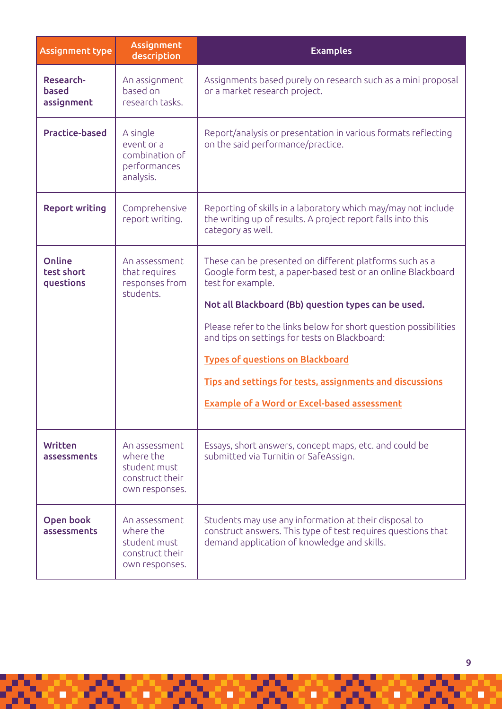| <b>Assignment type</b>                  | Assignment<br>description                                                       | <b>Examples</b>                                                                                                                                                                                                                                                                                                                                                                                                                                                                       |
|-----------------------------------------|---------------------------------------------------------------------------------|---------------------------------------------------------------------------------------------------------------------------------------------------------------------------------------------------------------------------------------------------------------------------------------------------------------------------------------------------------------------------------------------------------------------------------------------------------------------------------------|
| Research-<br><b>based</b><br>assignment | An assignment<br>based on<br>research tasks.                                    | Assignments based purely on research such as a mini proposal<br>or a market research project.                                                                                                                                                                                                                                                                                                                                                                                         |
| <b>Practice-based</b>                   | A single<br>event or a<br>combination of<br>performances<br>analysis.           | Report/analysis or presentation in various formats reflecting<br>on the said performance/practice.                                                                                                                                                                                                                                                                                                                                                                                    |
| <b>Report writing</b>                   | Comprehensive<br>report writing.                                                | Reporting of skills in a laboratory which may/may not include<br>the writing up of results. A project report falls into this<br>category as well.                                                                                                                                                                                                                                                                                                                                     |
| Online<br>test short<br>questions       | An assessment<br>that requires<br>responses from<br>students.                   | These can be presented on different platforms such as a<br>Google form test, a paper-based test or an online Blackboard<br>test for example.<br>Not all Blackboard (Bb) question types can be used.<br>Please refer to the links below for short question possibilities<br>and tips on settings for tests on Blackboard:<br><b>Types of questions on Blackboard</b><br>Tips and settings for tests, assignments and discussions<br><b>Example of a Word or Excel-based assessment</b> |
| <b>Written</b><br>assessments           | An assessment<br>where the<br>student must<br>construct their<br>own responses. | Essays, short answers, concept maps, etc. and could be<br>submitted via Turnitin or SafeAssign.                                                                                                                                                                                                                                                                                                                                                                                       |
| Open book<br>assessments                | An assessment<br>where the<br>student must<br>construct their<br>own responses. | Students may use any information at their disposal to<br>construct answers. This type of test requires questions that<br>demand application of knowledge and skills.                                                                                                                                                                                                                                                                                                                  |

Ч

ď,

Ë

ч

ď,

Ξ

٥

ď

Ċ

хY,

×

 $\blacksquare$ 

9

Ċ

д

п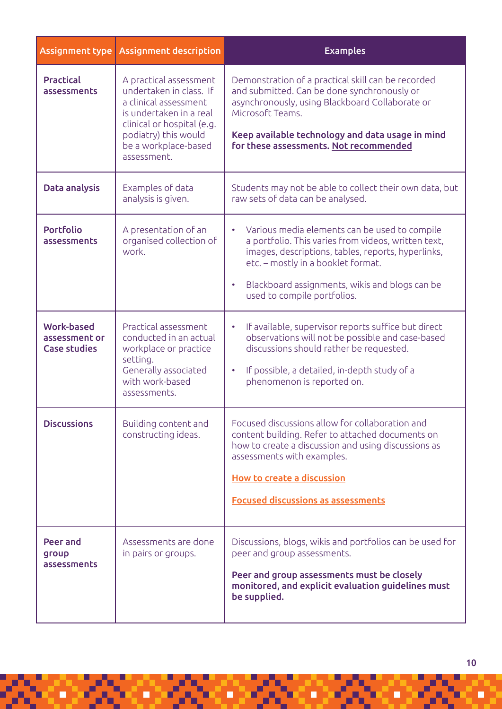| Assignment type                                           | <b>Assignment description</b>                                                                                                                                                                      | <b>Examples</b>                                                                                                                                                                                                                                                                                             |
|-----------------------------------------------------------|----------------------------------------------------------------------------------------------------------------------------------------------------------------------------------------------------|-------------------------------------------------------------------------------------------------------------------------------------------------------------------------------------------------------------------------------------------------------------------------------------------------------------|
| <b>Practical</b><br>assessments                           | A practical assessment<br>undertaken in class. If<br>a clinical assessment<br>is undertaken in a real<br>clinical or hospital (e.g.<br>podiatry) this would<br>be a workplace-based<br>assessment. | Demonstration of a practical skill can be recorded<br>and submitted. Can be done synchronously or<br>asynchronously, using Blackboard Collaborate or<br>Microsoft Teams.<br>Keep available technology and data usage in mind<br>for these assessments. Not recommended                                      |
| Data analysis                                             | Examples of data<br>analysis is given.                                                                                                                                                             | Students may not be able to collect their own data, but<br>raw sets of data can be analysed.                                                                                                                                                                                                                |
| <b>Portfolio</b><br>assessments                           | A presentation of an<br>organised collection of<br>work.                                                                                                                                           | Various media elements can be used to compile<br>$\bullet$<br>a portfolio. This varies from videos, written text,<br>images, descriptions, tables, reports, hyperlinks,<br>etc. - mostly in a booklet format.<br>Blackboard assignments, wikis and blogs can be<br>$\bullet$<br>used to compile portfolios. |
| <b>Work-based</b><br>assessment or<br><b>Case studies</b> | Practical assessment<br>conducted in an actual<br>workplace or practice<br>setting.<br>Generally associated<br>with work-based<br>assessments.                                                     | If available, supervisor reports suffice but direct<br>$\bullet$<br>observations will not be possible and case-based<br>discussions should rather be requested.<br>If possible, a detailed, in-depth study of a<br>$\bullet$<br>phenomenon is reported on.                                                  |
| <b>Discussions</b>                                        | Building content and<br>constructing ideas.                                                                                                                                                        | Focused discussions allow for collaboration and<br>content building. Refer to attached documents on<br>how to create a discussion and using discussions as<br>assessments with examples.<br>How to create a discussion<br><b>Focused discussions as assessments</b>                                         |
| Peer and<br>group<br>assessments                          | Assessments are done<br>in pairs or groups.                                                                                                                                                        | Discussions, blogs, wikis and portfolios can be used for<br>peer and group assessments.<br>Peer and group assessments must be closely<br>monitored, and explicit evaluation guidelines must<br>be supplied.                                                                                                 |

 $\blacksquare$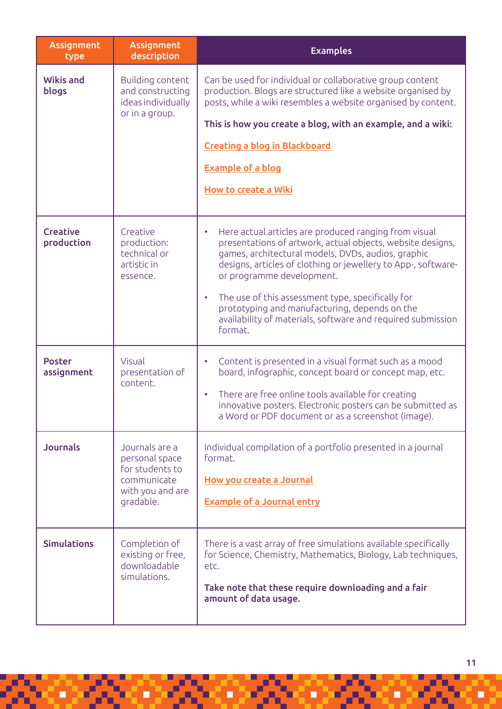| Assignment<br>type            | <b>Assignment</b><br>description                                                                    | <b>Examples</b>                                                                                                                                                                                                                                                                                                                                                                                                                                                                   |
|-------------------------------|-----------------------------------------------------------------------------------------------------|-----------------------------------------------------------------------------------------------------------------------------------------------------------------------------------------------------------------------------------------------------------------------------------------------------------------------------------------------------------------------------------------------------------------------------------------------------------------------------------|
| <b>Wikis and</b><br>blogs     | Building content<br>and constructing<br>ideas individually<br>or in a group.                        | Can be used for individual or collaborative group content<br>production. Blogs are structured like a website organised by<br>posts, while a wiki resembles a website organised by content.<br>This is how you create a blog, with an example, and a wiki:<br><b>Creating a blog in Blackboard</b><br><b>Example of a blog</b><br>How to create a Wiki                                                                                                                             |
| <b>Creative</b><br>production | Creative<br>production:<br>technical or<br>artistic in<br>essence.                                  | Here actual articles are produced ranging from visual<br>$\bullet$<br>presentations of artwork, actual objects, website designs,<br>games, architectural models, DVDs, audios, graphic<br>designs, articles of clothing or jewellery to App-, software-<br>or programme development.<br>The use of this assessment type, specifically for<br>$\bullet$<br>prototyping and manufacturing, depends on the<br>availability of materials, software and required submission<br>format. |
| <b>Poster</b><br>assignment   | Visual<br>presentation of<br>content.                                                               | Content is presented in a visual format such as a mood<br>$\bullet$<br>board, infographic, concept board or concept map, etc.<br>There are free online tools available for creating<br>$\bullet$<br>innovative posters. Electronic posters can be submitted as<br>a Word or PDF document or as a screenshot (image).                                                                                                                                                              |
| <b>Journals</b>               | Journals are a<br>personal space<br>for students to<br>communicate<br>with you and are<br>gradable. | Individual compilation of a portfolio presented in a journal<br>format.<br>How you create a Journal<br><b>Example of a Journal entry</b>                                                                                                                                                                                                                                                                                                                                          |
| <b>Simulations</b>            | Completion of<br>existing or free,<br>downloadable<br>simulations.                                  | There is a vast array of free simulations available specifically<br>for Science, Chemistry, Mathematics, Biology, Lab techniques,<br>etc.<br>Take note that these require downloading and a fair<br>amount of data usage.                                                                                                                                                                                                                                                         |

 $\Box$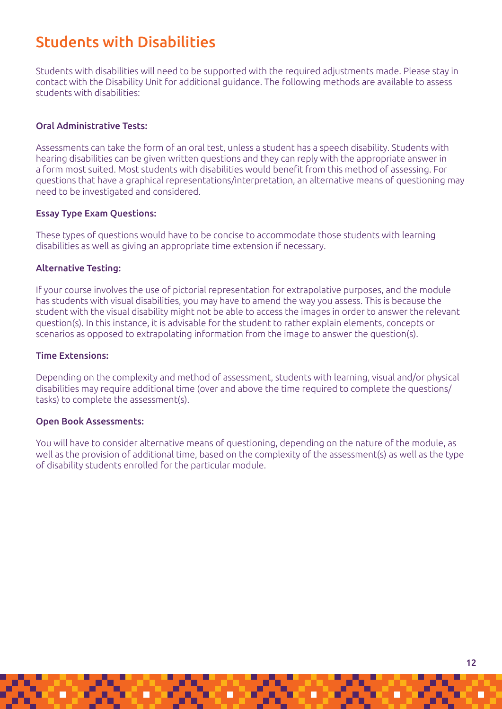# Students with Disabilities

Students with disabilities will need to be supported with the required adjustments made. Please stay in contact with the Disability Unit for additional guidance. The following methods are available to assess students with disabilities:

### Oral Administrative Tests:

Assessments can take the form of an oral test, unless a student has a speech disability. Students with hearing disabilities can be given written questions and they can reply with the appropriate answer in a form most suited. Most students with disabilities would benefit from this method of assessing. For questions that have a graphical representations/interpretation, an alternative means of questioning may need to be investigated and considered.

### Essay Type Exam Questions:

These types of questions would have to be concise to accommodate those students with learning disabilities as well as giving an appropriate time extension if necessary.

### Alternative Testing:

If your course involves the use of pictorial representation for extrapolative purposes, and the module has students with visual disabilities, you may have to amend the way you assess. This is because the student with the visual disability might not be able to access the images in order to answer the relevant question(s). In this instance, it is advisable for the student to rather explain elements, concepts or scenarios as opposed to extrapolating information from the image to answer the question(s).

### Time Extensions:

Depending on the complexity and method of assessment, students with learning, visual and/or physical disabilities may require additional time (over and above the time required to complete the questions/ tasks) to complete the assessment(s).

### Open Book Assessments:

You will have to consider alternative means of questioning, depending on the nature of the module, as well as the provision of additional time, based on the complexity of the assessment(s) as well as the type of disability students enrolled for the particular module.